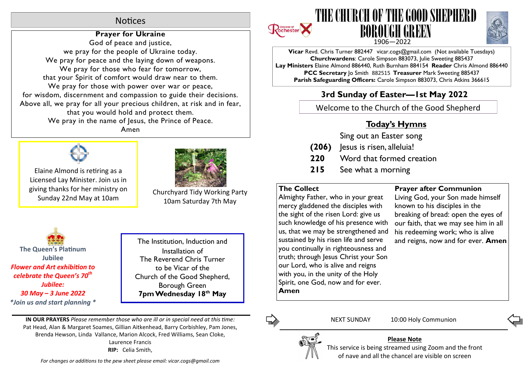# **Notices**

# **Prayer for Ukraine**

God of peace and justice, we pray for the people of Ukraine today. We pray for peace and the laying down of weapons. We pray for those who fear for tomorrow, that your Spirit of comfort would draw near to them. We pray for those with power over war or peace, for wisdom, discernment and compassion to guide their decisions. Above all, we pray for all your precious children, at risk and in fear, that you would hold and protect them. We pray in the name of Jesus, the Prince of Peace. Amen



Elaine Almond is retiring as a Licensed Lay Minister. Join us in giving thanks for her ministry on Sunday 22nd May at 10am



Churchyard Tidy Working Party 10am Saturday 7th May

**The Queen's Platinum Jubilee Flower and Art exhibition to** *celebrate the Queen's 70th Jubilee: 30 May – 3 June 2022 \*Join us and start planning \**

The Institution, Induction and Installation of The Reverend Chris Turner to be Vicar of the Church of the Good Shepherd, Borough Green **7pm Wednesday 18th May**

**IN OUR PRAYERS** *Please remember those who are ill or in special need at this me:* Pat Head, Alan & Margaret Soames, Gillian Aitkenhead, Barry Corbishley, Pam Jones, Brenda Hewson, Linda Vallance, Marion Alcock, Fred Williams, Sean Cloke, Laurence Francis **RIP:** Celia Smith,







**Vicar** Revd. Chris Turner 882447 vicar.cogs@gmail.com (Not available Tuesdays) **Churchwardens**: Carole Simpson 883073, Julie Sweeting 885437 **Lay Ministers** Elaine Almond 886440, Ruth Burnham 884154 **Reader** Chris Almond 886440 **PCC Secretary** Jo Smith 882515 **Treasurer** Mark Sweeting 885437 **Parish Safeguarding Officers:** Carole Simpson 883073, Chris Atkins 366615

# **3rd Sunday of Easter—1st May 2022**

Welcome to the Church of the Good Shepherd

# **Today's Hymns**

Sing out an Easter song

- **(206)** Jesus is risen, alleluia!
- **220** Word that formed creation
- **215** See what a morning

## **The Collect**

Almighty Father, who in your great mercy gladdened the disciples with the sight of the risen Lord: give us such knowledge of his presence with us, that we may be strengthened and sustained by his risen life and serve you continually in righteousness and truth; through Jesus Christ your Son our Lord, who is alive and reigns with you, in the unity of the Holy Spirit, one God, now and for ever. **Amen**

## **Prayer after Communion**

Living God, your Son made himself known to his disciples in the breaking of bread: open the eyes of our faith, that we may see him in all his redeeming work; who is alive and reigns, now and for ever. **Amen**



NEXT SUNDAY 10:00 Holy Communion

**Please Note** This service is being streamed using Zoom and the front of nave and all the chancel are visible on screen